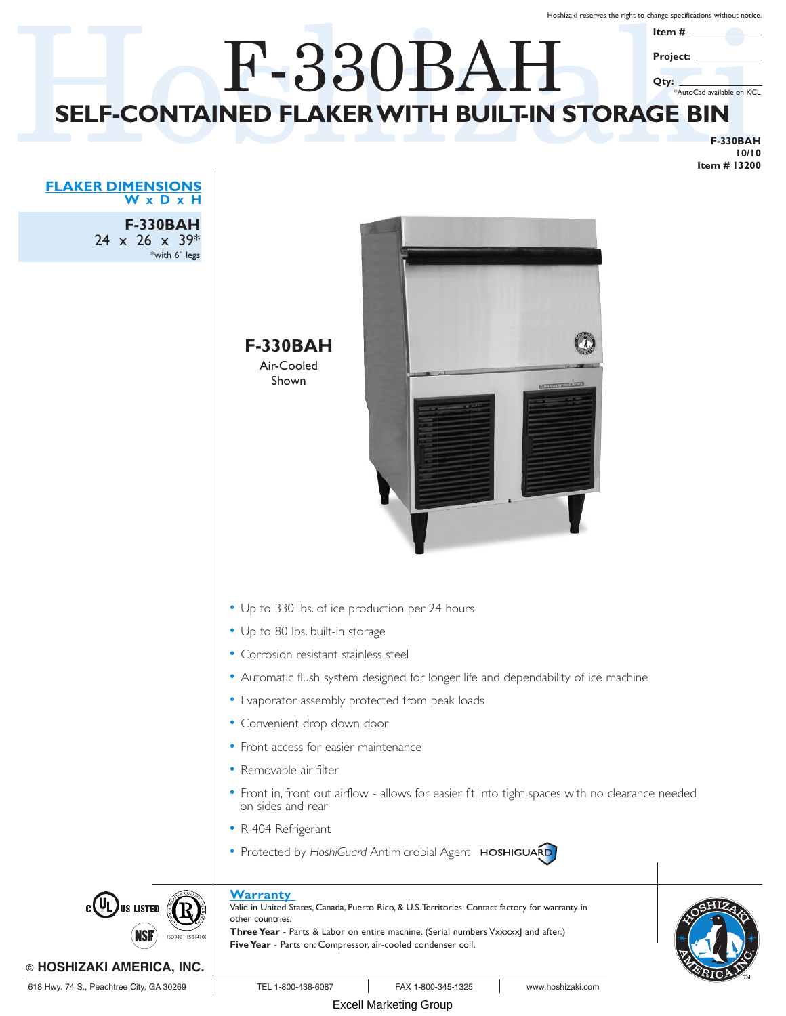Hoshizaki reserves the right to change specifications without notice.

## SELF-CONTAINED FLAKER WITH BUILT-IN STORAGE BIN **SELF-CONTAINED FLAKERWITH BUILT-IN STORAGE BIN** F-330BAH **Item # Project: Qty:** \*AutoCad available on KCL

**F-330BAH 10/10 Item # 13200**